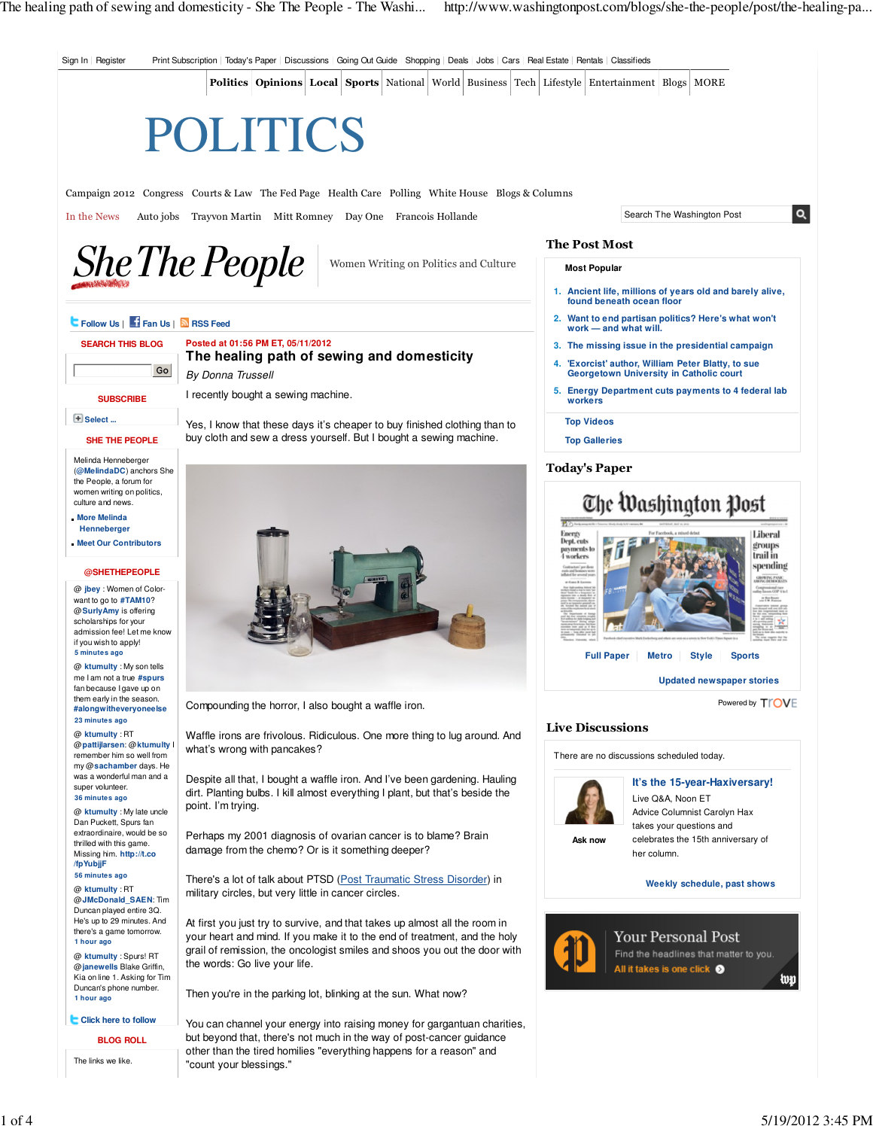The healing path of sewing and domesticity - She The People - The Washi... http://www.washingtonpost.com/blogs/she-the-people/post/the-healing-pa...

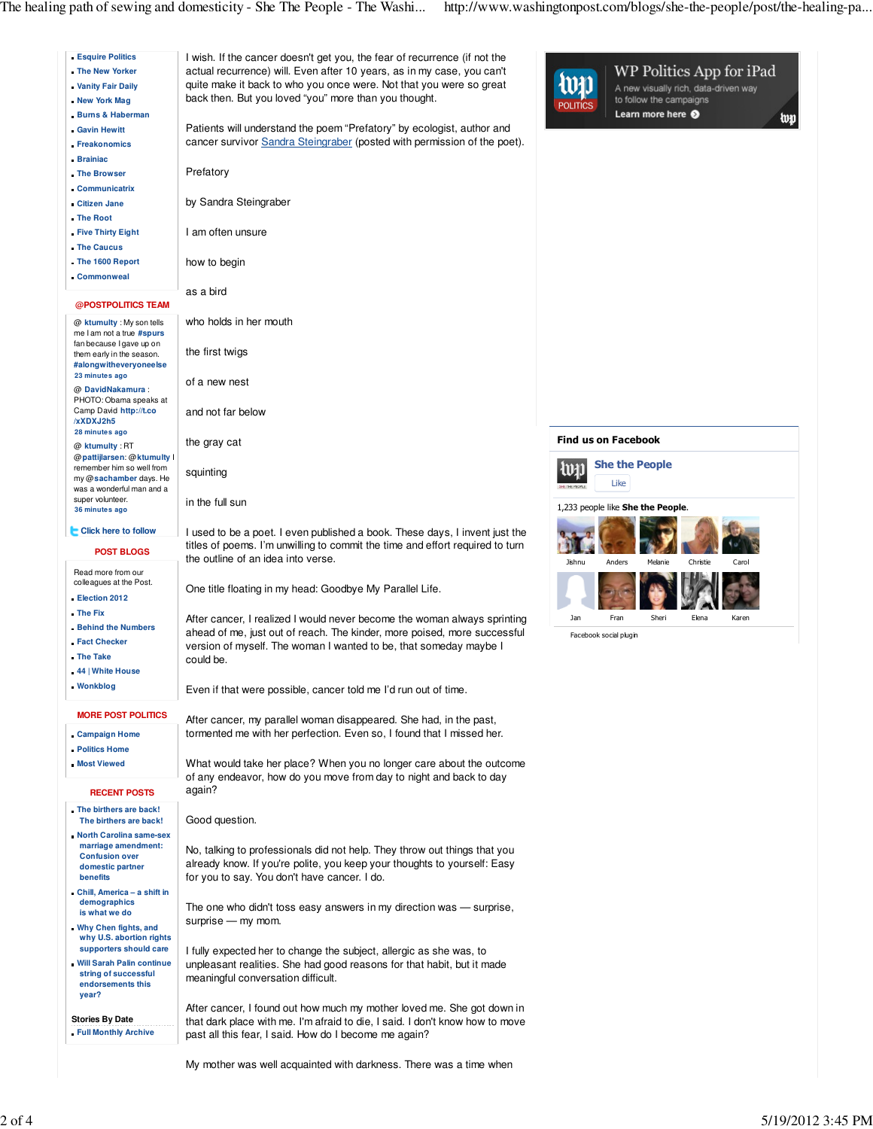The healing path of sewing and domesticity - She The People - The Washi... http://www.washingtonpost.com/blogs/she-the-people/post/the-healing-pa...

| <b>Esquire Politics</b><br>- The New Yorker<br>Vanity Fair Daily<br>New York Mag<br><b>Bums &amp; Haberman</b><br><b>Gavin Hewitt</b><br><b>Freakonomics</b><br><b>Brainiac</b><br><b>The Browser</b><br><b>Communicatrix</b><br>Citizen Jane<br>The Root<br>Five Thirty Eight<br>The Caucus<br>The 1600 Report<br>Commonweal | I wish. If the cancer doesn't get you, the fear of recurrence (if not the<br>actual recurrence) will. Even after 10 years, as in my case, you can't<br>quite make it back to who you once were. Not that you were so great<br>back then. But you loved "you" more than you thought.<br>Patients will understand the poem "Prefatory" by ecologist, author and<br>cancer survivor Sandra Steingraber (posted with permission of the poet).<br>Prefatory<br>by Sandra Steingraber<br>I am often unsure<br>how to begin | WP Politics App for iPad<br>A new visually rich, data-driven way<br>to follow the campaigns<br>POLITICS<br>Learn more here <sup>O</sup><br>wv |
|-------------------------------------------------------------------------------------------------------------------------------------------------------------------------------------------------------------------------------------------------------------------------------------------------------------------------------|----------------------------------------------------------------------------------------------------------------------------------------------------------------------------------------------------------------------------------------------------------------------------------------------------------------------------------------------------------------------------------------------------------------------------------------------------------------------------------------------------------------------|-----------------------------------------------------------------------------------------------------------------------------------------------|
| @POSTPOLITICS TEAM                                                                                                                                                                                                                                                                                                            | as a bird                                                                                                                                                                                                                                                                                                                                                                                                                                                                                                            |                                                                                                                                               |
| @ ktumulty : My son tells<br>me I am not a true #spurs<br>fan because I gave up on<br>them early in the season.<br>#alongwitheveryoneelse<br>23 minutes ago<br>@ DavidNakamura:<br>PHOTO: Obama speaks at<br>Camp David http://t.co<br>/xXDXJ2h5                                                                              | who holds in her mouth<br>the first twigs<br>of a new nest<br>and not far below                                                                                                                                                                                                                                                                                                                                                                                                                                      |                                                                                                                                               |
| 28 minutes ago                                                                                                                                                                                                                                                                                                                |                                                                                                                                                                                                                                                                                                                                                                                                                                                                                                                      | <b>Find us on Facebook</b>                                                                                                                    |
| @ ktumulty: RT<br>@pattijlarsen: @ktumulty I<br>remember him so well from<br>my @sachamber days. He<br>was a wonderful man and a<br>super volunteer.<br>36 minutes ago                                                                                                                                                        | the gray cat<br>squinting<br>in the full sun                                                                                                                                                                                                                                                                                                                                                                                                                                                                         | <b>She the People</b><br>w<br>Like<br>1,233 people like She the People.                                                                       |
| Click here to follow<br><b>POST BLOGS</b>                                                                                                                                                                                                                                                                                     | I used to be a poet. I even published a book. These days, I invent just the<br>titles of poems. I'm unwilling to commit the time and effort required to turn<br>the outline of an idea into verse.                                                                                                                                                                                                                                                                                                                   | Jishnu<br>Christie<br>Anders<br>Melanie<br>Carol                                                                                              |
| Read more from our<br>colleagues at the Post.<br>Election 2012<br>The Fix<br><b>Behind the Numbers</b><br><b>Fact Checker</b><br>The Take<br>44   White House<br><b>Wonkblog</b>                                                                                                                                              | One title floating in my head: Goodbye My Parallel Life.<br>After cancer, I realized I would never become the woman always sprinting<br>ahead of me, just out of reach. The kinder, more poised, more successful<br>version of myself. The woman I wanted to be, that someday maybe I<br>could be.<br>Even if that were possible, cancer told me I'd run out of time.                                                                                                                                                | Jan<br>Sheri<br>Karen<br>Fran<br>Elena<br>Facebook social plugin                                                                              |
|                                                                                                                                                                                                                                                                                                                               |                                                                                                                                                                                                                                                                                                                                                                                                                                                                                                                      |                                                                                                                                               |
| <b>MORE POST POLITICS</b><br>Campaign Home<br><b>Politics Home</b>                                                                                                                                                                                                                                                            | After cancer, my parallel woman disappeared. She had, in the past,<br>tormented me with her perfection. Even so, I found that I missed her.                                                                                                                                                                                                                                                                                                                                                                          |                                                                                                                                               |
| <b>Most Viewed</b>                                                                                                                                                                                                                                                                                                            | What would take her place? When you no longer care about the outcome                                                                                                                                                                                                                                                                                                                                                                                                                                                 |                                                                                                                                               |
| <b>RECENT POSTS</b>                                                                                                                                                                                                                                                                                                           | of any endeavor, how do you move from day to night and back to day<br>again?                                                                                                                                                                                                                                                                                                                                                                                                                                         |                                                                                                                                               |
| The birthers are back!                                                                                                                                                                                                                                                                                                        |                                                                                                                                                                                                                                                                                                                                                                                                                                                                                                                      |                                                                                                                                               |
| The birthers are back!<br>North Carolina same-sex<br>marriage amendment:<br><b>Confusion over</b><br>domestic partner<br>benefits                                                                                                                                                                                             | Good question.<br>No, talking to professionals did not help. They throw out things that you<br>already know. If you're polite, you keep your thoughts to yourself: Easy<br>for you to say. You don't have cancer. I do.                                                                                                                                                                                                                                                                                              |                                                                                                                                               |
| Chill, America - a shift in<br>demographics<br>is what we do<br>Why Chen fights, and<br>why U.S. abortion rights                                                                                                                                                                                                              | The one who didn't toss easy answers in my direction was — surprise,<br>surprise - my mom.                                                                                                                                                                                                                                                                                                                                                                                                                           |                                                                                                                                               |
| supporters should care<br><b>Will Sarah Palin continue</b><br>string of successful<br>endorsements this<br>year?                                                                                                                                                                                                              | I fully expected her to change the subject, allergic as she was, to<br>unpleasant realities. She had good reasons for that habit, but it made<br>meaningful conversation difficult.                                                                                                                                                                                                                                                                                                                                  |                                                                                                                                               |
| <b>Stories By Date</b><br><b>Full Monthly Archive</b>                                                                                                                                                                                                                                                                         | After cancer, I found out how much my mother loved me. She got down in<br>that dark place with me. I'm afraid to die, I said. I don't know how to move<br>past all this fear, I said. How do I become me again?                                                                                                                                                                                                                                                                                                      |                                                                                                                                               |
|                                                                                                                                                                                                                                                                                                                               | My mother was well acquainted with darkness. There was a time when                                                                                                                                                                                                                                                                                                                                                                                                                                                   |                                                                                                                                               |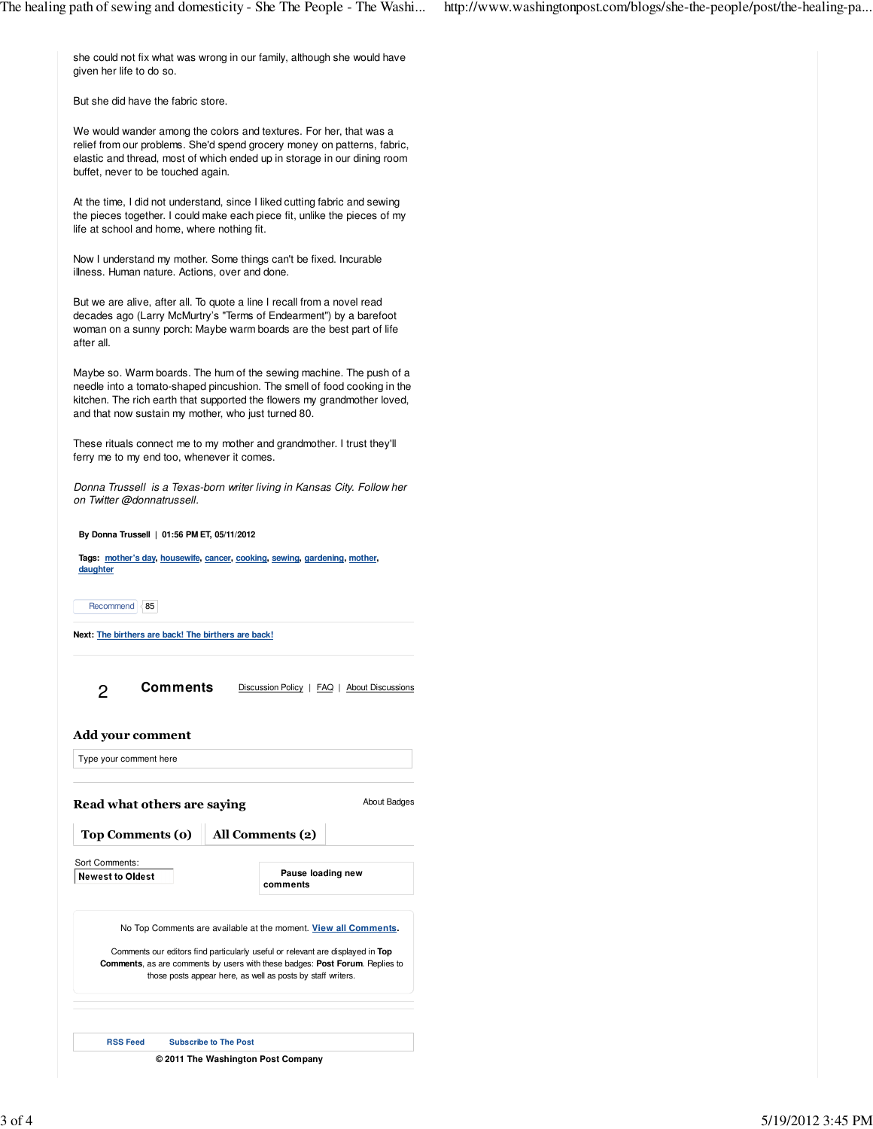she could not fix what was wrong in our family, although she would have given her life to do so.

But she did have the fabric store.

We would wander among the colors and textures. For her, that was a relief from our problems. She'd spend grocery money on patterns, fabric, elastic and thread, most of which ended up in storage in our dining room buffet, never to be touched again.

At the time, I did not understand, since I liked cutting fabric and sewing the pieces together. I could make each piece fit, unlike the pieces of my life at school and home, where nothing fit.

Now I understand my mother. Some things can't be fixed. Incurable illness. Human nature. Actions, over and done.

But we are alive, after all. To quote a line I recall from a novel read decades ago (Larry McMurtry's "Terms of Endearment") by a barefoot woman on a sunny porch: Maybe warm boards are the best part of life after all.

Maybe so. Warm boards. The hum of the sewing machine. The push of a needle into a tomato-shaped pincushion. The smell of food cooking in the kitchen. The rich earth that supported the flowers my grandmother loved, and that now sustain my mother, who just turned 80.

These rituals connect me to my mother and grandmother. I trust they'll ferry me to my end too, whenever it comes.

Donna Trussell is a Texas-born writer living in Kansas City. Follow her on Twitter @donnatrussell.

## **By Donna Trussell | 01:56 PM ET, 05/11/2012**

**Tags: mother's day, housewife, cancer, cooking, sewing, gardening, mother, daughter**

Recommend 85

**Next: The birthers are back! The birthers are back!**

Discussion Policy | FAQ | About Discussions **Comments** 2

## **Add your comment**

| Type your comment here                                                                                                                                                                                                                                                                                          |  |  |  |  |  |
|-----------------------------------------------------------------------------------------------------------------------------------------------------------------------------------------------------------------------------------------------------------------------------------------------------------------|--|--|--|--|--|
| About Badges<br>Read what others are saying                                                                                                                                                                                                                                                                     |  |  |  |  |  |
| All Comments (2)                                                                                                                                                                                                                                                                                                |  |  |  |  |  |
| Pause loading new<br>comments                                                                                                                                                                                                                                                                                   |  |  |  |  |  |
| No Top Comments are available at the moment. View all Comments.<br>Comments our editors find particularly useful or relevant are displayed in Top<br><b>Comments.</b> as are comments by users with these badges: <b>Post Forum</b> . Replies to<br>those posts appear here, as well as posts by staff writers. |  |  |  |  |  |
| <b>Subscribe to The Post</b>                                                                                                                                                                                                                                                                                    |  |  |  |  |  |
|                                                                                                                                                                                                                                                                                                                 |  |  |  |  |  |